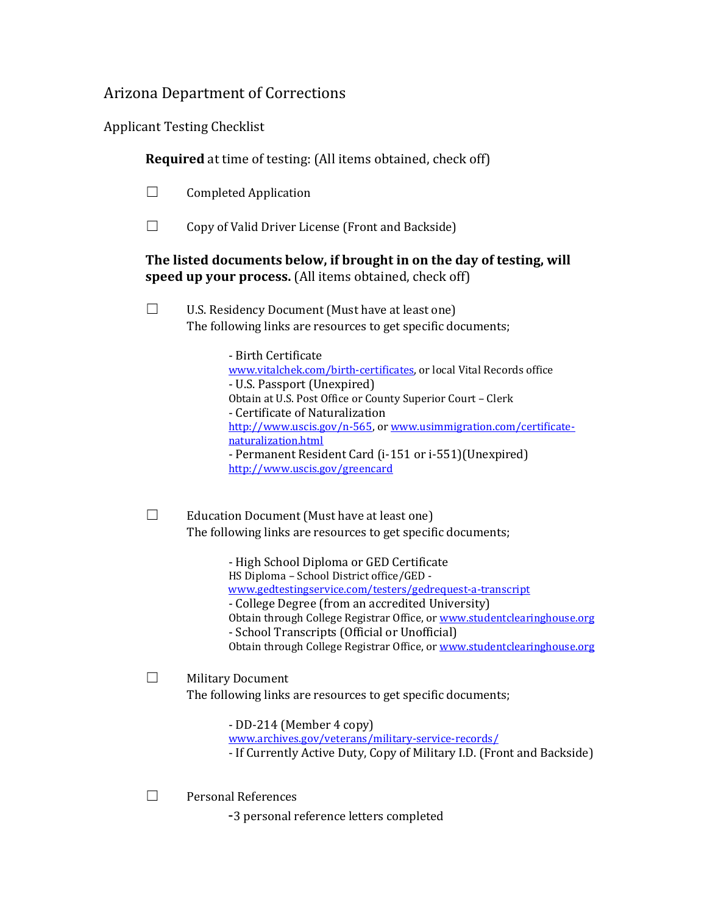## Arizona Department of Corrections

Applicant Testing Checklist

**Required** at time of testing: (All items obtained, check off)

- $\Box$  Completed Application
- $\Box$  Copy of Valid Driver License (Front and Backside)

## **The listed documents below, if brought in on the day of testing, will speed up your process.** (All items obtained, check off)

 $\Box$  U.S. Residency Document (Must have at least one) The following links are resources to get specific documents;

> - Birth Certificate [www.vitalchek.com/birth-certificates,](http://www.vitalchek.com/birth-certificates) or local Vital Records office - U.S. Passport (Unexpired) Obtain at U.S. Post Office or County Superior Court – Clerk - Certificate of Naturalization [http://www.uscis.gov/n-565,](http://www.uscis.gov/n-565) o[r www.usimmigration.com/certificate](http://www.usimmigration.com/certificate-naturalization.html)[naturalization.html](http://www.usimmigration.com/certificate-naturalization.html) - Permanent Resident Card (i-151 or i-551)(Unexpired) <http://www.uscis.gov/greencard>

 $\Box$  Education Document (Must have at least one) The following links are resources to get specific documents;

> - High School Diploma or GED Certificate HS Diploma – School District office/GED [www.gedtestingservice.com/testers/gedrequest-a-transcript](http://www.gedtestingservice.com/testers/gedrequest-a-transcript)

- College Degree (from an accredited University)
- Obtain through College Registrar Office, or [www.studentclearinghouse.org](http://www.studentclearinghouse.org/) - School Transcripts (Official or Unofficial)
- Obtain through College Registrar Office, or [www.studentclearinghouse.org](http://www.studentclearinghouse.org/)

## ☐ Military Document The following links are resources to get specific documents;

- DD-214 (Member 4 copy)

- [www.archives.gov/veterans/military-service-records/](http://www.archives.gov/veterans/military-service-records/)
- If Currently Active Duty, Copy of Military I.D. (Front and Backside)
- ☐ Personal References
	- -3 personal reference letters completed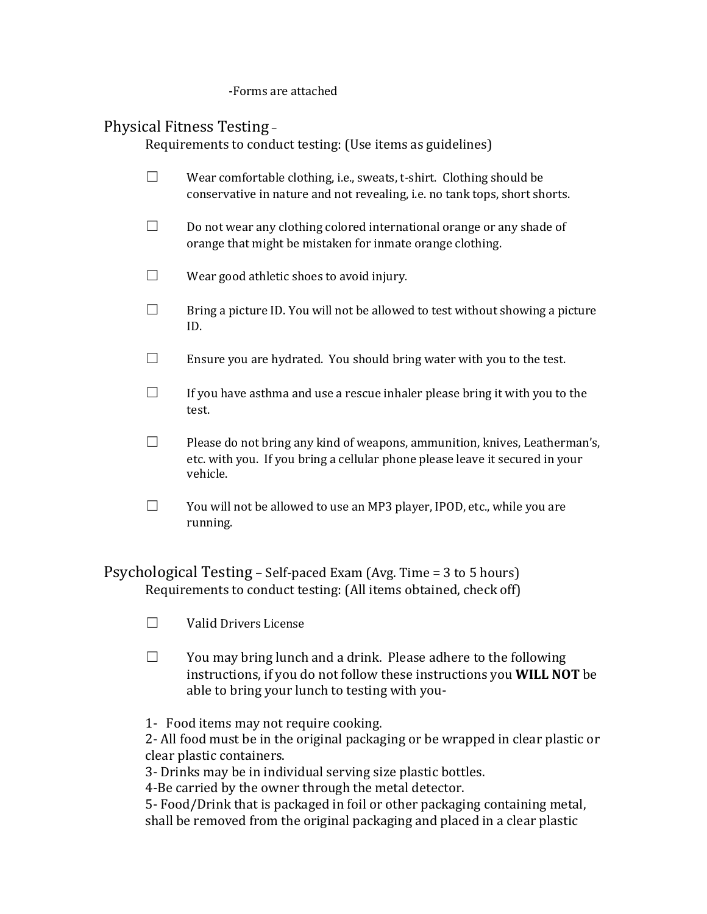**-**Forms are attached

## Physical Fitness Testing –

Requirements to conduct testing: (Use items as guidelines)

- ☐ Wear comfortable clothing, i.e., sweats, t-shirt. Clothing should be conservative in nature and not revealing, i.e. no tank tops, short shorts.
- $\Box$  Do not wear any clothing colored international orange or any shade of orange that might be mistaken for inmate orange clothing.
- $\Box$  Wear good athletic shoes to avoid injury.
- $\Box$  Bring a picture ID. You will not be allowed to test without showing a picture ID.
- $\Box$  Ensure you are hydrated. You should bring water with you to the test.
- $\Box$  If you have asthma and use a rescue inhaler please bring it with you to the test.
- $\Box$  Please do not bring any kind of weapons, ammunition, knives, Leatherman's, etc. with you. If you bring a cellular phone please leave it secured in your vehicle.
- ☐ You will not be allowed to use an MP3 player, IPOD, etc., while you are running.

Psychological Testing – Self-paced Exam (Avg. Time = 3 to 5 hours) Requirements to conduct testing: (All items obtained, check off)

- ☐ Valid Drivers License
- $\Box$  You may bring lunch and a drink. Please adhere to the following instructions, if you do not follow these instructions you **WILL NOT** be able to bring your lunch to testing with you-
- 1- Food items may not require cooking.

2- All food must be in the original packaging or be wrapped in clear plastic or clear plastic containers.

3- Drinks may be in individual serving size plastic bottles.

4-Be carried by the owner through the metal detector.

5- Food/Drink that is packaged in foil or other packaging containing metal, shall be removed from the original packaging and placed in a clear plastic